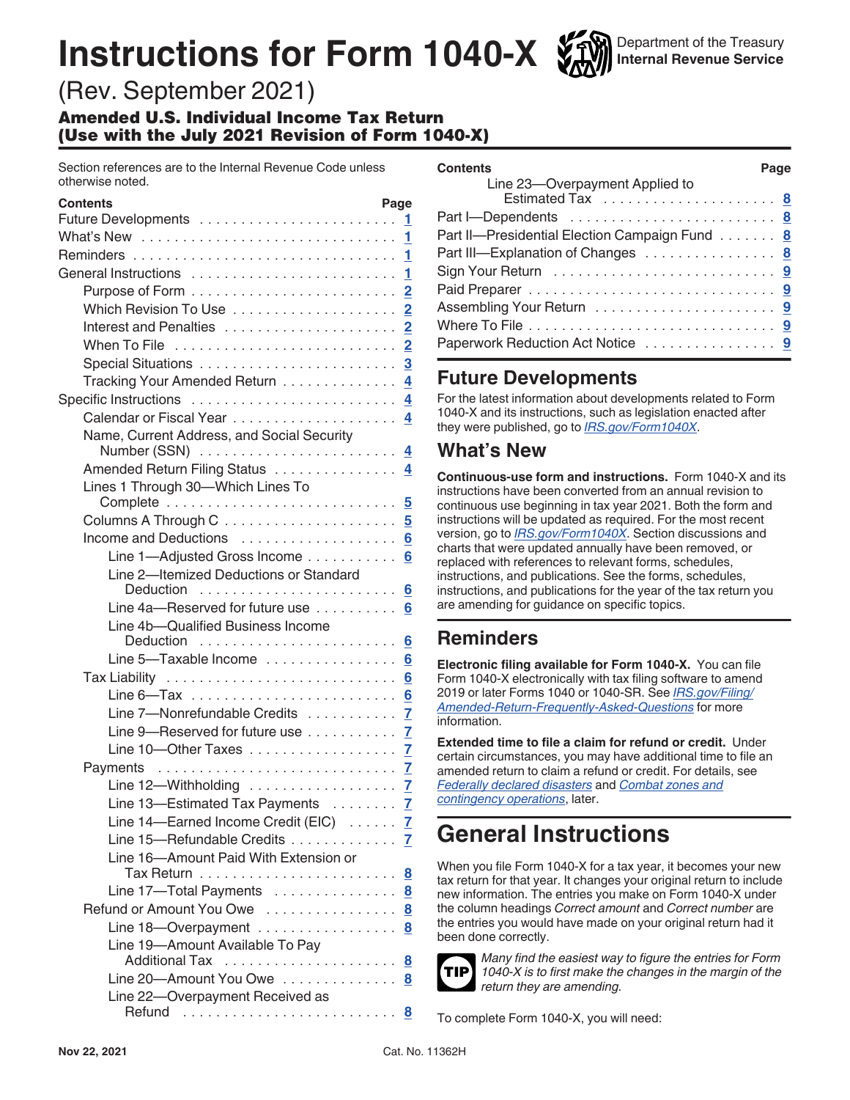# **Instructions for Form 1040-X**



(Rev. September 2021)

Amended U.S. Individual Income Tax Return (Use with the July 2021 Revision of Form 1040-X)

Section references are to the Internal Revenue Code unless otherwise noted.

| Contents                                                  | Page                    |
|-----------------------------------------------------------|-------------------------|
|                                                           | 1                       |
|                                                           | $\mathbf{1}$            |
|                                                           | 1                       |
|                                                           | 1                       |
|                                                           |                         |
|                                                           | $\overline{2}$          |
| Interest and Penalties                                    | $\overline{2}$          |
|                                                           | $\overline{2}$          |
|                                                           | $\overline{3}$          |
| Tracking Your Amended Return                              | $\overline{4}$          |
| Specific Instructions  4                                  |                         |
|                                                           | 4                       |
| Name, Current Address, and Social Security                | 4                       |
| Amended Return Filing Status                              | 4                       |
| Lines 1 Through 30-Which Lines To                         |                         |
|                                                           | $\overline{\mathbf{5}}$ |
|                                                           | $\overline{\mathbf{5}}$ |
| Income and Deductions                                     | $6\phantom{1}$          |
| Line 1-Adjusted Gross Income                              | 6                       |
| Line 2-Itemized Deductions or Standard                    |                         |
| Deduction                                                 | 6                       |
| Line $4a$ —Reserved for future use $\ldots \ldots \ldots$ |                         |
| Line 4b-Qualified Business Income                         |                         |
| Deduction                                                 | 6                       |
| Line 5-Taxable Income  6                                  |                         |
|                                                           | 6                       |
|                                                           | 6                       |
| Line 7-Nonrefundable Credits                              | 7                       |
| Line 9-Reserved for future use                            | $\mathbf{Z}$            |
| Line 10-Other Taxes 7                                     |                         |
| Payments                                                  | $\overline{I}$          |
| Line 12-Withholding $\ldots \ldots \ldots \ldots \ldots$  |                         |
| Line 13-Estimated Tax Payments                            | $\overline{7}$          |
| Line 14-Earned Income Credit (EIC)                        | $\mathbf{Z}$            |
| Line 15-Refundable Credits                                | $\overline{I}$          |
| Line 16-Amount Paid With Extension or                     |                         |
|                                                           | $\overline{\mathbf{g}}$ |
| Line 17-Total Payments                                    | $\overline{\mathbf{8}}$ |
| Refund or Amount You Owe                                  | 8                       |
| Line 18-Overpayment                                       | 8                       |
| Line 19-Amount Available To Pay                           |                         |
|                                                           | 8                       |
| Line 20-Amount You Owe                                    | 8                       |
| Line 22-Overpayment Received as                           |                         |
| Refund                                                    | 8                       |

| <b>Contents</b>                               | Page |  |
|-----------------------------------------------|------|--|
| Line 23-Overpayment Applied to                |      |  |
|                                               |      |  |
| Part I—Dependents  8                          |      |  |
| Part II-Presidential Election Campaign Fund 8 |      |  |
| Part III—Explanation of Changes 8             |      |  |
|                                               |      |  |
|                                               |      |  |
|                                               |      |  |
|                                               |      |  |
| Paperwork Reduction Act Notice  9             |      |  |

# **Future Developments**

For the latest information about developments related to Form 1040-X and its instructions, such as legislation enacted after they were published, go to *[IRS.gov/Form1040X](https://www.irs.gov/Form1040X)*.

# **What's New**

**Continuous-use form and instructions.** Form 1040-X and its instructions have been converted from an annual revision to continuous use beginning in tax year 2021. Both the form and instructions will be updated as required. For the most recent version, go to *[IRS.gov/Form1040X](https://www.irs.gov/forms-pubs/about-form-1040x)*. Section discussions and charts that were updated annually have been removed, or replaced with references to relevant forms, schedules, instructions, and publications. See the forms, schedules, instructions, and publications for the year of the tax return you are amending for guidance on specific topics.

# **Reminders**

**Electronic filing available for Form 1040-X.** You can file Form 1040-X electronically with tax filing software to amend 2019 or later Forms 1040 or 1040-SR. See *[IRS.gov/Filing/](https://www.irs.gov/filing/amended-return-frequently-asked-questions) [Amended-Return-Frequently-Asked-Questions](https://www.irs.gov/filing/amended-return-frequently-asked-questions)* for more information.

**Extended time to file a claim for refund or credit.** Under certain circumstances, you may have additional time to file an amended return to claim a refund or credit. For details, see *[Federally declared disasters](#page-2-0)* and *[Combat zones and](#page-2-0) [contingency operations](#page-2-0)*, later.

# **General Instructions**

When you file Form 1040-X for a tax year, it becomes your new tax return for that year. It changes your original return to include new information. The entries you make on Form 1040-X under the column headings *Correct amount* and *Correct number* are the entries you would have made on your original return had it been done correctly.



*Many find the easiest way to figure the entries for Form 1040-X is to first make the changes in the margin of the return they are amending.*

To complete Form 1040-X, you will need: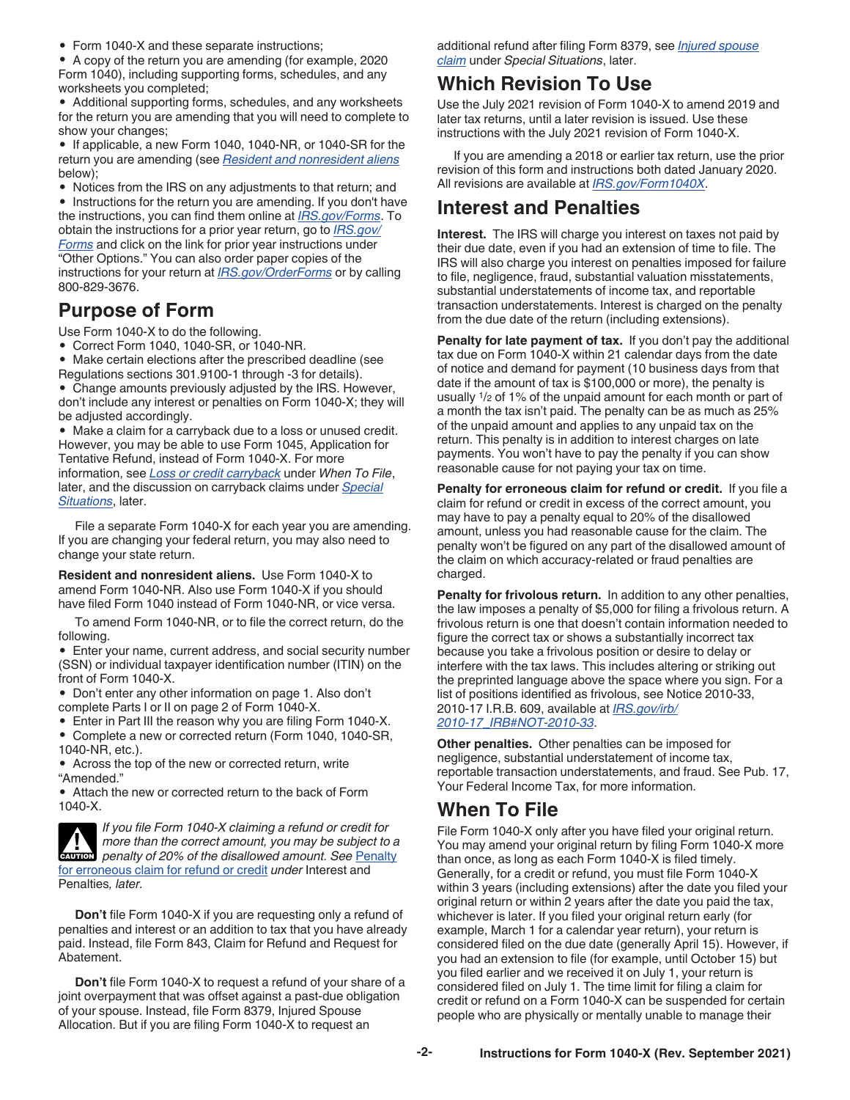<span id="page-1-0"></span>• Form 1040-X and these separate instructions;

• A copy of the return you are amending (for example, 2020 Form 1040), including supporting forms, schedules, and any worksheets you completed;

• Additional supporting forms, schedules, and any worksheets for the return you are amending that you will need to complete to show your changes;

• If applicable, a new Form 1040, 1040-NR, or 1040-SR for the return you are amending (see *Resident and nonresident aliens*  below);

• Notices from the IRS on any adjustments to that return; and

• Instructions for the return you are amending. If you don't have the instructions, you can find them online at *[IRS.gov/Forms](https://www.irs.gov/formspubs)*. To obtain the instructions for a prior year return, go to *[IRS.gov/](https://www.irs.gov/forms-instructions) [Forms](https://www.irs.gov/forms-instructions)* and click on the link for prior year instructions under "Other Options." You can also order paper copies of the instructions for your return at *[IRS.gov/OrderForms](https://www.irs.gov/orderforms)* or by calling 800-829-3676.

## **Purpose of Form**

Use Form 1040-X to do the following.

• Correct Form 1040, 1040-SR, or 1040-NR.

• Make certain elections after the prescribed deadline (see Regulations sections 301.9100-1 through -3 for details).

• Change amounts previously adjusted by the IRS. However, don't include any interest or penalties on Form 1040-X; they will be adjusted accordingly.

• Make a claim for a carryback due to a loss or unused credit. However, you may be able to use Form 1045, Application for Tentative Refund, instead of Form 1040-X. For more information, see *[Loss or credit carryback](#page-2-0)* under *When To File*, later, and the discussion on carryback claims under *[Special](#page-2-0) [Situations](#page-2-0)*, later.

File a separate Form 1040-X for each year you are amending. If you are changing your federal return, you may also need to change your state return.

**Resident and nonresident aliens.** Use Form 1040-X to amend Form 1040-NR. Also use Form 1040-X if you should have filed Form 1040 instead of Form 1040-NR, or vice versa.

To amend Form 1040-NR, or to file the correct return, do the following.

• Enter your name, current address, and social security number (SSN) or individual taxpayer identification number (ITIN) on the front of Form 1040-X.

• Don't enter any other information on page 1. Also don't complete Parts I or II on page 2 of Form 1040-X.

• Enter in Part III the reason why you are filing Form 1040-X. • Complete a new or corrected return (Form 1040, 1040-SR, 1040-NR, etc.).

• Across the top of the new or corrected return, write "Amended."

• Attach the new or corrected return to the back of Form 1040-X.



*If you file Form 1040-X claiming a refund or credit for more than the correct amount, you may be subject to a penalty of 20% of the disallowed amount. See* Penalty for erroneous claim for refund or credit *under* Interest and Penalties*, later.*

**Don't** file Form 1040-X if you are requesting only a refund of penalties and interest or an addition to tax that you have already paid. Instead, file Form 843, Claim for Refund and Request for Abatement.

**Don't** file Form 1040-X to request a refund of your share of a joint overpayment that was offset against a past-due obligation of your spouse. Instead, file Form 8379, Injured Spouse Allocation. But if you are filing Form 1040-X to request an

additional refund after filing Form 8379, see *[Injured spouse](#page-3-0)  [claim](#page-3-0)* under *Special Situations*, later.

# **Which Revision To Use**

Use the July 2021 revision of Form 1040-X to amend 2019 and later tax returns, until a later revision is issued. Use these instructions with the July 2021 revision of Form 1040-X.

If you are amending a 2018 or earlier tax return, use the prior revision of this form and instructions both dated January 2020. All revisions are available at *[IRS.gov/Form1040X](https://www.irs.gov/forms-pubs/about-form-1040x)*.

## **Interest and Penalties**

**Interest.** The IRS will charge you interest on taxes not paid by their due date, even if you had an extension of time to file. The IRS will also charge you interest on penalties imposed for failure to file, negligence, fraud, substantial valuation misstatements, substantial understatements of income tax, and reportable transaction understatements. Interest is charged on the penalty from the due date of the return (including extensions).

**Penalty for late payment of tax.** If you don't pay the additional tax due on Form 1040-X within 21 calendar days from the date of notice and demand for payment (10 business days from that date if the amount of tax is \$100,000 or more), the penalty is usually 1/2 of 1% of the unpaid amount for each month or part of a month the tax isn't paid. The penalty can be as much as 25% of the unpaid amount and applies to any unpaid tax on the return. This penalty is in addition to interest charges on late payments. You won't have to pay the penalty if you can show reasonable cause for not paying your tax on time.

**Penalty for erroneous claim for refund or credit.** If you file a claim for refund or credit in excess of the correct amount, you may have to pay a penalty equal to 20% of the disallowed amount, unless you had reasonable cause for the claim. The penalty won't be figured on any part of the disallowed amount of the claim on which accuracy-related or fraud penalties are charged.

**Penalty for frivolous return.** In addition to any other penalties, the law imposes a penalty of \$5,000 for filing a frivolous return. A frivolous return is one that doesn't contain information needed to figure the correct tax or shows a substantially incorrect tax because you take a frivolous position or desire to delay or interfere with the tax laws. This includes altering or striking out the preprinted language above the space where you sign. For a list of positions identified as frivolous, see Notice 2010-33, 2010-17 I.R.B. 609, available at *[IRS.gov/irb/](https://www.irs.gov/irb/2010-17_IRB#NOT-2010-33) [2010-17\\_IRB#NOT-2010-33](https://www.irs.gov/irb/2010-17_IRB#NOT-2010-33)*.

**Other penalties.** Other penalties can be imposed for negligence, substantial understatement of income tax, reportable transaction understatements, and fraud. See Pub. 17, Your Federal Income Tax, for more information.

## **When To File**

File Form 1040-X only after you have filed your original return. You may amend your original return by filing Form 1040-X more than once, as long as each Form 1040-X is filed timely. Generally, for a credit or refund, you must file Form 1040-X within 3 years (including extensions) after the date you filed your original return or within 2 years after the date you paid the tax, whichever is later. If you filed your original return early (for example, March 1 for a calendar year return), your return is considered filed on the due date (generally April 15). However, if you had an extension to file (for example, until October 15) but you filed earlier and we received it on July 1, your return is considered filed on July 1. The time limit for filing a claim for credit or refund on a Form 1040-X can be suspended for certain people who are physically or mentally unable to manage their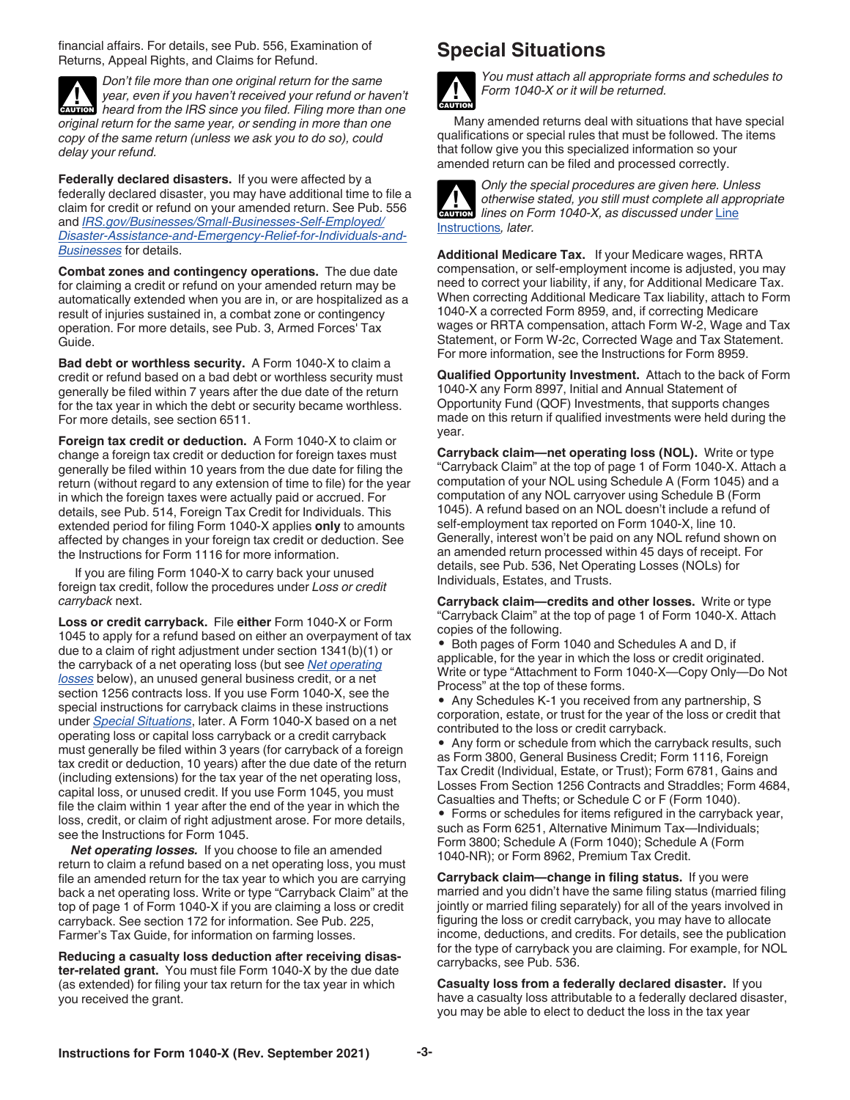<span id="page-2-0"></span>financial affairs. For details, see Pub. 556, Examination of Returns, Appeal Rights, and Claims for Refund.



**Federally declared disasters.** If you were affected by a federally declared disaster, you may have additional time to file a claim for credit or refund on your amended return. See Pub. 556 and *[IRS.gov/Businesses/Small-Businesses-Self-Employed/](https://www.irs.gov/businesses/small-businesses-self-employed/disaster-assistance-and-emergency-relief-for-individuals-and-businesses) [Disaster-Assistance-and-Emergency-Relief-for-Individuals-and-](https://www.irs.gov/businesses/small-businesses-self-employed/disaster-assistance-and-emergency-relief-for-individuals-and-businesses)[Businesses](https://www.irs.gov/businesses/small-businesses-self-employed/disaster-assistance-and-emergency-relief-for-individuals-and-businesses)* for details.

**Combat zones and contingency operations.** The due date for claiming a credit or refund on your amended return may be automatically extended when you are in, or are hospitalized as a result of injuries sustained in, a combat zone or contingency operation. For more details, see Pub. 3, Armed Forces' Tax Guide.

**Bad debt or worthless security.** A Form 1040-X to claim a credit or refund based on a bad debt or worthless security must generally be filed within 7 years after the due date of the return for the tax year in which the debt or security became worthless. For more details, see section 6511.

**Foreign tax credit or deduction.** A Form 1040-X to claim or change a foreign tax credit or deduction for foreign taxes must generally be filed within 10 years from the due date for filing the return (without regard to any extension of time to file) for the year in which the foreign taxes were actually paid or accrued. For details, see Pub. 514, Foreign Tax Credit for Individuals. This extended period for filing Form 1040-X applies **only** to amounts affected by changes in your foreign tax credit or deduction. See the Instructions for Form 1116 for more information.

If you are filing Form 1040-X to carry back your unused foreign tax credit, follow the procedures under *Loss or credit carryback* next.

**Loss or credit carryback.** File **either** Form 1040-X or Form 1045 to apply for a refund based on either an overpayment of tax due to a claim of right adjustment under section 1341(b)(1) or the carryback of a net operating loss (but see *Net operating losses* below), an unused general business credit, or a net section 1256 contracts loss. If you use Form 1040-X, see the special instructions for carryback claims in these instructions under *Special Situations*, later. A Form 1040-X based on a net operating loss or capital loss carryback or a credit carryback must generally be filed within 3 years (for carryback of a foreign tax credit or deduction, 10 years) after the due date of the return (including extensions) for the tax year of the net operating loss, capital loss, or unused credit. If you use Form 1045, you must file the claim within 1 year after the end of the year in which the loss, credit, or claim of right adjustment arose. For more details, see the Instructions for Form 1045.

*Net operating losses.* If you choose to file an amended return to claim a refund based on a net operating loss, you must file an amended return for the tax year to which you are carrying back a net operating loss. Write or type "Carryback Claim" at the top of page 1 of Form 1040-X if you are claiming a loss or credit carryback. See section 172 for information. See Pub. 225, Farmer's Tax Guide, for information on farming losses.

**Reducing a casualty loss deduction after receiving disaster-related grant.** You must file Form 1040-X by the due date (as extended) for filing your tax return for the tax year in which you received the grant.

## **Special Situations**



*You must attach all appropriate forms and schedules to Form 1040-X or it will be returned.*

Many amended returns deal with situations that have special qualifications or special rules that must be followed. The items that follow give you this specialized information so your amended return can be filed and processed correctly.



*Only the special procedures are given here. Unless otherwise stated, you still must complete all appropriate lines on Form 1040-X, as discussed under* [Line](#page-3-0) [Instructions](#page-3-0)*, later.*

**Additional Medicare Tax.** If your Medicare wages, RRTA compensation, or self-employment income is adjusted, you may need to correct your liability, if any, for Additional Medicare Tax. When correcting Additional Medicare Tax liability, attach to Form 1040-X a corrected Form 8959, and, if correcting Medicare wages or RRTA compensation, attach Form W-2, Wage and Tax Statement, or Form W-2c, Corrected Wage and Tax Statement. For more information, see the Instructions for Form 8959.

**Qualified Opportunity Investment.** Attach to the back of Form 1040-X any Form 8997, Initial and Annual Statement of Opportunity Fund (QOF) Investments, that supports changes made on this return if qualified investments were held during the year.

**Carryback claim—net operating loss (NOL).** Write or type "Carryback Claim" at the top of page 1 of Form 1040-X. Attach a computation of your NOL using Schedule A (Form 1045) and a computation of any NOL carryover using Schedule B (Form 1045). A refund based on an NOL doesn't include a refund of self-employment tax reported on Form 1040-X, line 10. Generally, interest won't be paid on any NOL refund shown on an amended return processed within 45 days of receipt. For details, see Pub. 536, Net Operating Losses (NOLs) for Individuals, Estates, and Trusts.

**Carryback claim—credits and other losses.** Write or type "Carryback Claim" at the top of page 1 of Form 1040-X. Attach copies of the following.

• Both pages of Form 1040 and Schedules A and D, if applicable, for the year in which the loss or credit originated. Write or type "Attachment to Form 1040-X—Copy Only—Do Not Process" at the top of these forms.

• Any Schedules K-1 you received from any partnership, S corporation, estate, or trust for the year of the loss or credit that contributed to the loss or credit carryback.

• Any form or schedule from which the carryback results, such as Form 3800, General Business Credit; Form 1116, Foreign Tax Credit (Individual, Estate, or Trust); Form 6781, Gains and Losses From Section 1256 Contracts and Straddles; Form 4684, Casualties and Thefts; or Schedule C or F (Form 1040).

• Forms or schedules for items refigured in the carryback year, such as Form 6251, Alternative Minimum Tax—Individuals; Form 3800; Schedule A (Form 1040); Schedule A (Form 1040-NR); or Form 8962, Premium Tax Credit.

**Carryback claim—change in filing status.** If you were married and you didn't have the same filing status (married filing jointly or married filing separately) for all of the years involved in figuring the loss or credit carryback, you may have to allocate income, deductions, and credits. For details, see the publication for the type of carryback you are claiming. For example, for NOL carrybacks, see Pub. 536.

**Casualty loss from a federally declared disaster.** If you have a casualty loss attributable to a federally declared disaster, you may be able to elect to deduct the loss in the tax year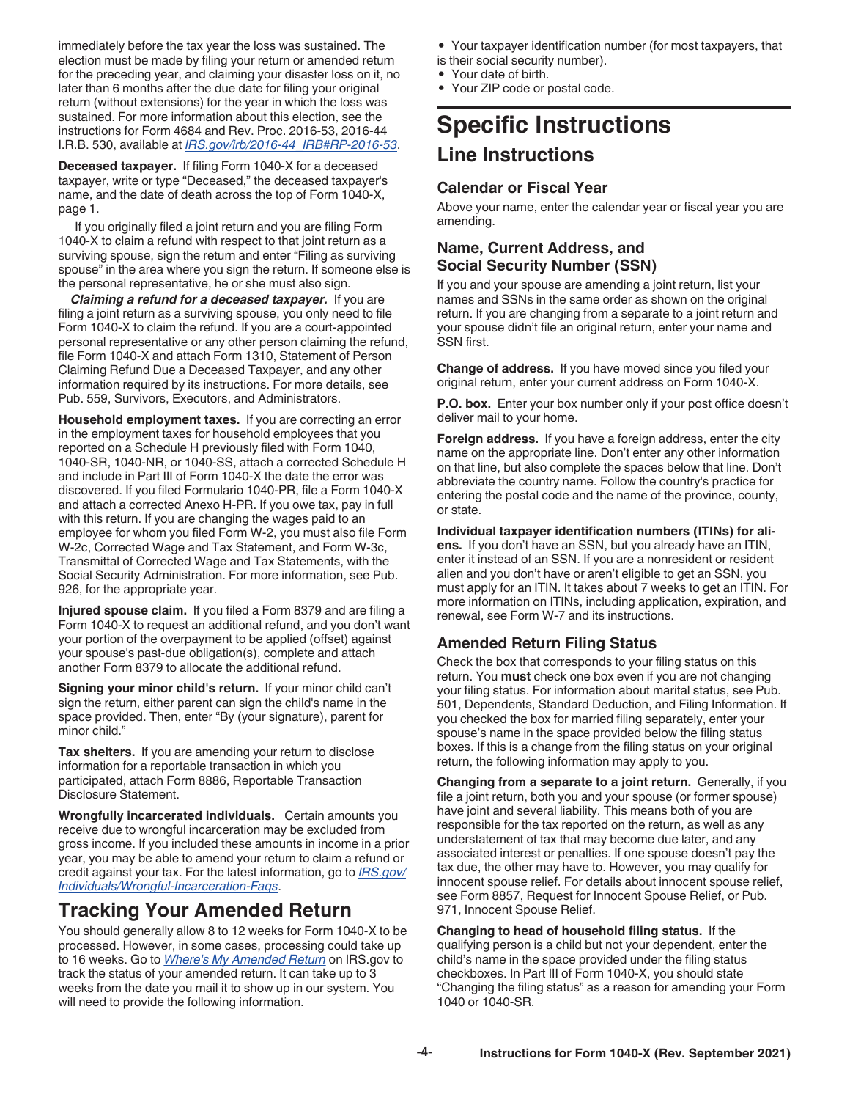<span id="page-3-0"></span>immediately before the tax year the loss was sustained. The election must be made by filing your return or amended return for the preceding year, and claiming your disaster loss on it, no later than 6 months after the due date for filing your original return (without extensions) for the year in which the loss was sustained. For more information about this election, see the instructions for Form 4684 and Rev. Proc. 2016-53, 2016-44 I.R.B. 530, available at *[IRS.gov/irb/2016-44\\_IRB#RP-2016-53](https://www.irs.gov/irb/2016-44_IRB#RP-2016-53)*.

**Deceased taxpayer.** If filing Form 1040-X for a deceased taxpayer, write or type "Deceased," the deceased taxpayer's name, and the date of death across the top of Form 1040-X, page 1.

If you originally filed a joint return and you are filing Form 1040-X to claim a refund with respect to that joint return as a surviving spouse, sign the return and enter "Filing as surviving spouse" in the area where you sign the return. If someone else is the personal representative, he or she must also sign.

*Claiming a refund for a deceased taxpayer.* If you are filing a joint return as a surviving spouse, you only need to file Form 1040-X to claim the refund. If you are a court-appointed personal representative or any other person claiming the refund, file Form 1040-X and attach Form 1310, Statement of Person Claiming Refund Due a Deceased Taxpayer, and any other information required by its instructions. For more details, see Pub. 559, Survivors, Executors, and Administrators.

**Household employment taxes.** If you are correcting an error in the employment taxes for household employees that you reported on a Schedule H previously filed with Form 1040, 1040-SR, 1040-NR, or 1040-SS, attach a corrected Schedule H and include in Part III of Form 1040-X the date the error was discovered. If you filed Formulario 1040-PR, file a Form 1040-X and attach a corrected Anexo H-PR. If you owe tax, pay in full with this return. If you are changing the wages paid to an employee for whom you filed Form W-2, you must also file Form W-2c, Corrected Wage and Tax Statement, and Form W-3c, Transmittal of Corrected Wage and Tax Statements, with the Social Security Administration. For more information, see Pub. 926, for the appropriate year.

**Injured spouse claim.** If you filed a Form 8379 and are filing a Form 1040-X to request an additional refund, and you don't want your portion of the overpayment to be applied (offset) against your spouse's past-due obligation(s), complete and attach another Form 8379 to allocate the additional refund.

**Signing your minor child's return.** If your minor child can't sign the return, either parent can sign the child's name in the space provided. Then, enter "By (your signature), parent for minor child."

**Tax shelters.** If you are amending your return to disclose information for a reportable transaction in which you participated, attach Form 8886, Reportable Transaction Disclosure Statement.

**Wrongfully incarcerated individuals.** Certain amounts you receive due to wrongful incarceration may be excluded from gross income. If you included these amounts in income in a prior year, you may be able to amend your return to claim a refund or credit against your tax. For the latest information, go to *[IRS.gov/](https://www.irs.gov/individuals/wrongful-incarceration-faqs) [Individuals/Wrongful-Incarceration-Faqs](https://www.irs.gov/individuals/wrongful-incarceration-faqs)*.

# **Tracking Your Amended Return**

You should generally allow 8 to 12 weeks for Form 1040-X to be processed. However, in some cases, processing could take up to 16 weeks. Go to *[Where's My Amended Return](https://www.irs.gov/Filing/Individuals/Amended-Returns-(Form-1040-X)/Wheres-My-Amended-Return-1)* on IRS.gov to track the status of your amended return. It can take up to 3 weeks from the date you mail it to show up in our system. You will need to provide the following information.

• Your taxpayer identification number (for most taxpayers, that

- is their social security number).
- Your date of birth. • Your ZIP code or postal code.

# **Specific Instructions Line Instructions**

#### **Calendar or Fiscal Year**

Above your name, enter the calendar year or fiscal year you are amending.

#### **Name, Current Address, and Social Security Number (SSN)**

If you and your spouse are amending a joint return, list your names and SSNs in the same order as shown on the original return. If you are changing from a separate to a joint return and your spouse didn't file an original return, enter your name and SSN first.

**Change of address.** If you have moved since you filed your original return, enter your current address on Form 1040-X.

**P.O. box.** Enter your box number only if your post office doesn't deliver mail to your home.

**Foreign address.** If you have a foreign address, enter the city name on the appropriate line. Don't enter any other information on that line, but also complete the spaces below that line. Don't abbreviate the country name. Follow the country's practice for entering the postal code and the name of the province, county, or state.

**Individual taxpayer identification numbers (ITINs) for aliens.** If you don't have an SSN, but you already have an ITIN, enter it instead of an SSN. If you are a nonresident or resident alien and you don't have or aren't eligible to get an SSN, you must apply for an ITIN. It takes about 7 weeks to get an ITIN. For more information on ITINs, including application, expiration, and renewal, see Form W-7 and its instructions.

#### **Amended Return Filing Status**

Check the box that corresponds to your filing status on this return. You **must** check one box even if you are not changing your filing status. For information about marital status, see Pub. 501, Dependents, Standard Deduction, and Filing Information. If you checked the box for married filing separately, enter your spouse's name in the space provided below the filing status boxes. If this is a change from the filing status on your original return, the following information may apply to you.

**Changing from a separate to a joint return.** Generally, if you file a joint return, both you and your spouse (or former spouse) have joint and several liability. This means both of you are responsible for the tax reported on the return, as well as any understatement of tax that may become due later, and any associated interest or penalties. If one spouse doesn't pay the tax due, the other may have to. However, you may qualify for innocent spouse relief. For details about innocent spouse relief, see Form 8857, Request for Innocent Spouse Relief, or Pub. 971, Innocent Spouse Relief.

**Changing to head of household filing status.** If the qualifying person is a child but not your dependent, enter the child's name in the space provided under the filing status checkboxes. In Part III of Form 1040-X, you should state "Changing the filing status" as a reason for amending your Form 1040 or 1040-SR.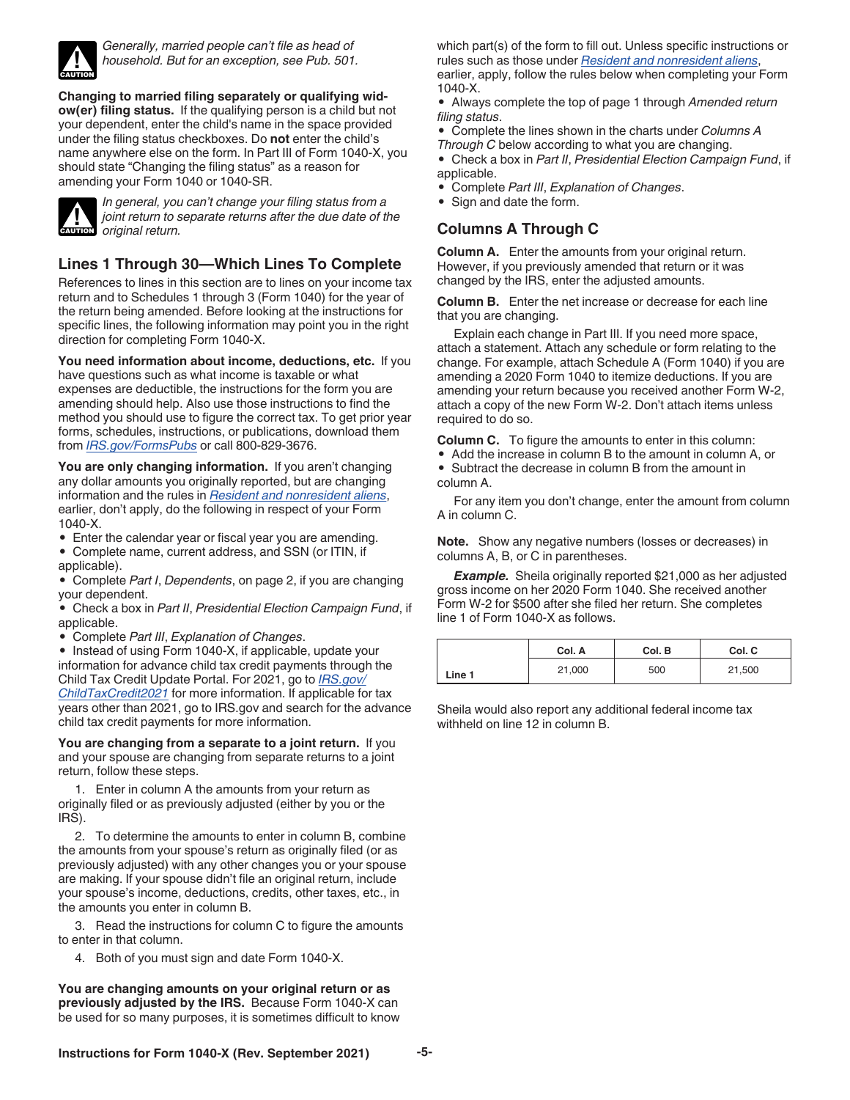<span id="page-4-0"></span>

*Generally, married people can't file as head of household. But for an exception, see Pub. 501.*

**Changing to married filing separately or qualifying widow(er) filing status.** If the qualifying person is a child but not your dependent, enter the child's name in the space provided under the filing status checkboxes. Do **not** enter the child's name anywhere else on the form. In Part III of Form 1040-X, you should state "Changing the filing status" as a reason for amending your Form 1040 or 1040-SR.



*In general, you can't change your filing status from a joint return to separate returns after the due date of the*  **original return to s**<br> **CAUTION** original return.

#### **Lines 1 Through 30—Which Lines To Complete**

References to lines in this section are to lines on your income tax return and to Schedules 1 through 3 (Form 1040) for the year of the return being amended. Before looking at the instructions for specific lines, the following information may point you in the right direction for completing Form 1040-X.

**You need information about income, deductions, etc.** If you have questions such as what income is taxable or what expenses are deductible, the instructions for the form you are amending should help. Also use those instructions to find the method you should use to figure the correct tax. To get prior year forms, schedules, instructions, or publications, download them from *[IRS.gov/FormsPubs](https://www.irs.gov/formspubs)* or call 800-829-3676.

**You are only changing information.** If you aren't changing any dollar amounts you originally reported, but are changing information and the rules in *[Resident and nonresident aliens](#page-1-0)*, earlier, don't apply, do the following in respect of your Form 1040-X.

- Enter the calendar year or fiscal year you are amending.
- Complete name, current address, and SSN (or ITIN, if applicable).

• Complete *Part I*, *Dependents*, on page 2, if you are changing your dependent.

• Check a box in *Part II*, *Presidential Election Campaign Fund*, if applicable.

• Complete *Part III*, *Explanation of Changes*.

• Instead of using Form 1040-X, if applicable, update your information for advance child tax credit payments through the Child Tax Credit Update Portal. For 2021, go to *[IRS.gov/](https://www.irs.gov/credits-deductions/advance-child-tax-credit-payments-in-2021) [ChildTaxCredit2021](https://www.irs.gov/credits-deductions/advance-child-tax-credit-payments-in-2021)* for more information. If applicable for tax years other than 2021, go to IRS.gov and search for the advance child tax credit payments for more information.

**You are changing from a separate to a joint return.** If you and your spouse are changing from separate returns to a joint return, follow these steps.

1. Enter in column A the amounts from your return as originally filed or as previously adjusted (either by you or the IRS).

2. To determine the amounts to enter in column B, combine the amounts from your spouse's return as originally filed (or as previously adjusted) with any other changes you or your spouse are making. If your spouse didn't file an original return, include your spouse's income, deductions, credits, other taxes, etc., in the amounts you enter in column B.

3. Read the instructions for column C to figure the amounts to enter in that column.

4. Both of you must sign and date Form 1040-X.

**You are changing amounts on your original return or as previously adjusted by the IRS.** Because Form 1040-X can be used for so many purposes, it is sometimes difficult to know which part(s) of the form to fill out. Unless specific instructions or rules such as those under *[Resident and nonresident aliens](#page-1-0)*, earlier, apply, follow the rules below when completing your Form

1040-X. • Always complete the top of page 1 through *Amended return filing status*.

• Complete the lines shown in the charts under *Columns A Through C* below according to what you are changing.

• Check a box in *Part II*, *Presidential Election Campaign Fund*, if applicable.

- Complete *Part III*, *Explanation of Changes*.
- Sign and date the form.

#### **Columns A Through C**

**Column A.** Enter the amounts from your original return. However, if you previously amended that return or it was changed by the IRS, enter the adjusted amounts.

**Column B.** Enter the net increase or decrease for each line that you are changing.

Explain each change in Part III. If you need more space, attach a statement. Attach any schedule or form relating to the change. For example, attach Schedule A (Form 1040) if you are amending a 2020 Form 1040 to itemize deductions. If you are amending your return because you received another Form W-2, attach a copy of the new Form W-2. Don't attach items unless required to do so.

**Column C.** To figure the amounts to enter in this column:

- Add the increase in column B to the amount in column A, or • Subtract the decrease in column B from the amount in
- column A.

For any item you don't change, enter the amount from column A in column C.

**Note.** Show any negative numbers (losses or decreases) in columns A, B, or C in parentheses.

**Example.** Sheila originally reported \$21,000 as her adjusted gross income on her 2020 Form 1040. She received another Form W-2 for \$500 after she filed her return. She completes line 1 of Form 1040-X as follows.

|        | Col. A | Col. B | Col. C |
|--------|--------|--------|--------|
| Line 1 | 21,000 | 500    | 21,500 |

Sheila would also report any additional federal income tax withheld on line 12 in column B.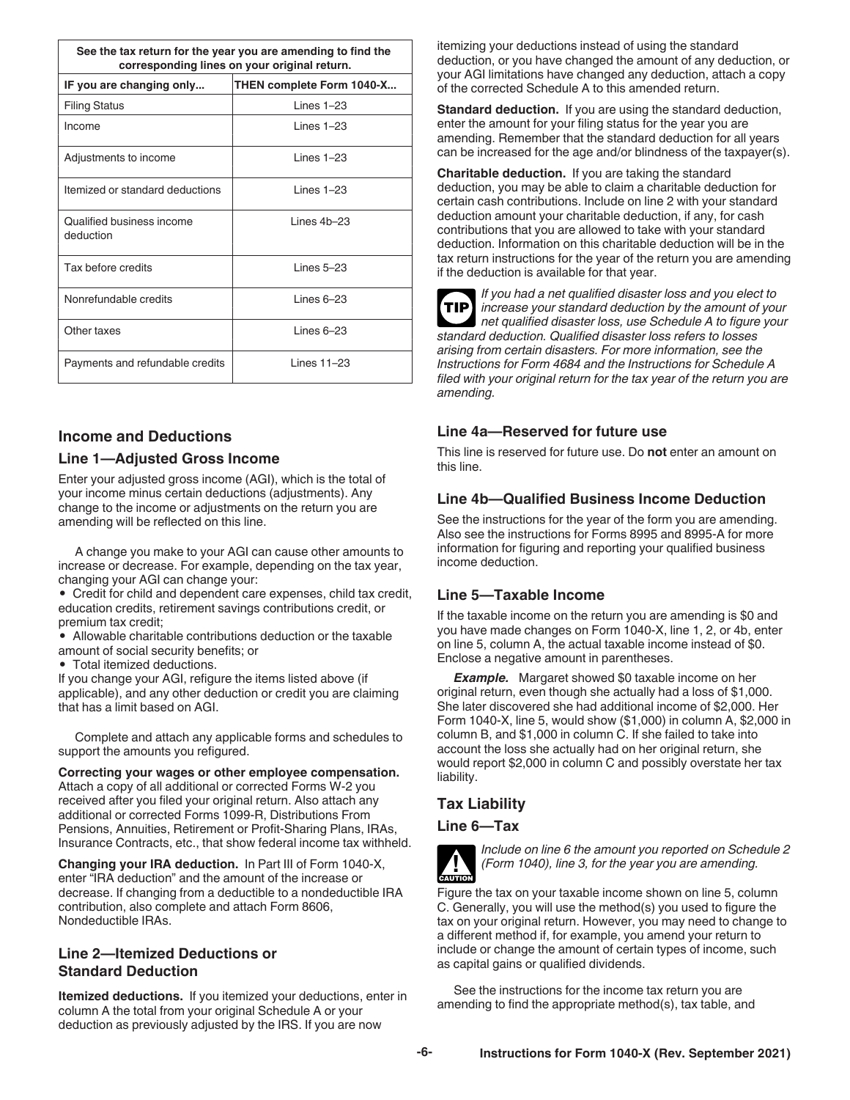<span id="page-5-0"></span>

| See the tax return for the year you are amending to find the<br>corresponding lines on your original return. |                    |  |
|--------------------------------------------------------------------------------------------------------------|--------------------|--|
| IF you are changing only<br>THEN complete Form 1040-X                                                        |                    |  |
| <b>Filing Status</b>                                                                                         | $l$ ines $1-23$    |  |
| Income                                                                                                       | Lines $1-23$       |  |
| Adjustments to income                                                                                        | $l$ ines $1-23$    |  |
| Itemized or standard deductions                                                                              | $l$ ines $1-23$    |  |
| Qualified business income<br>deduction                                                                       | $l$ ines $4b - 23$ |  |
| Tax before credits                                                                                           | I ines 5-23        |  |
| Nonrefundable credits                                                                                        | $l$ ines 6-23      |  |
| Other taxes                                                                                                  | $l$ ines 6-23      |  |
| Payments and refundable credits                                                                              | l ines 11-23       |  |

#### **Income and Deductions**

#### **Line 1—Adjusted Gross Income**

Enter your adjusted gross income (AGI), which is the total of your income minus certain deductions (adjustments). Any change to the income or adjustments on the return you are amending will be reflected on this line.

A change you make to your AGI can cause other amounts to increase or decrease. For example, depending on the tax year, changing your AGI can change your:

• Credit for child and dependent care expenses, child tax credit, education credits, retirement savings contributions credit, or premium tax credit;

• Allowable charitable contributions deduction or the taxable amount of social security benefits; or

• Total itemized deductions.

If you change your AGI, refigure the items listed above (if applicable), and any other deduction or credit you are claiming that has a limit based on AGI.

Complete and attach any applicable forms and schedules to support the amounts you refigured.

**Correcting your wages or other employee compensation.**  Attach a copy of all additional or corrected Forms W-2 you received after you filed your original return. Also attach any additional or corrected Forms 1099-R, Distributions From Pensions, Annuities, Retirement or Profit-Sharing Plans, IRAs, Insurance Contracts, etc., that show federal income tax withheld.

**Changing your IRA deduction.** In Part III of Form 1040-X, enter "IRA deduction" and the amount of the increase or decrease. If changing from a deductible to a nondeductible IRA contribution, also complete and attach Form 8606, Nondeductible IRAs.

#### **Line 2—Itemized Deductions or Standard Deduction**

**Itemized deductions.** If you itemized your deductions, enter in column A the total from your original Schedule A or your deduction as previously adjusted by the IRS. If you are now

itemizing your deductions instead of using the standard deduction, or you have changed the amount of any deduction, or your AGI limitations have changed any deduction, attach a copy of the corrected Schedule A to this amended return.

**Standard deduction.** If you are using the standard deduction, enter the amount for your filing status for the year you are amending. Remember that the standard deduction for all years can be increased for the age and/or blindness of the taxpayer(s).

**Charitable deduction.** If you are taking the standard deduction, you may be able to claim a charitable deduction for certain cash contributions. Include on line 2 with your standard deduction amount your charitable deduction, if any, for cash contributions that you are allowed to take with your standard deduction. Information on this charitable deduction will be in the tax return instructions for the year of the return you are amending if the deduction is available for that year.

**TIP**

*If you had a net qualified disaster loss and you elect to increase your standard deduction by the amount of your net qualified disaster loss, use Schedule A to figure your standard deduction. Qualified disaster loss refers to losses arising from certain disasters. For more information, see the Instructions for Form 4684 and the Instructions for Schedule A filed with your original return for the tax year of the return you are amending.*

#### **Line 4a—Reserved for future use**

This line is reserved for future use. Do **not** enter an amount on this line.

#### **Line 4b—Qualified Business Income Deduction**

See the instructions for the year of the form you are amending. Also see the instructions for Forms 8995 and 8995-A for more information for figuring and reporting your qualified business income deduction.

#### **Line 5—Taxable Income**

If the taxable income on the return you are amending is \$0 and you have made changes on Form 1040-X, line 1, 2, or 4b, enter on line 5, column A, the actual taxable income instead of \$0. Enclose a negative amount in parentheses.

**Example.** Margaret showed \$0 taxable income on her original return, even though she actually had a loss of \$1,000. She later discovered she had additional income of \$2,000. Her Form 1040-X, line 5, would show (\$1,000) in column A, \$2,000 in column B, and \$1,000 in column C. If she failed to take into account the loss she actually had on her original return, she would report \$2,000 in column C and possibly overstate her tax liability.

#### **Tax Liability**

#### **Line 6—Tax**



*Include on line 6 the amount you reported on Schedule 2 (Form 1040), line 3, for the year you are amending.*

Figure the tax on your taxable income shown on line 5, column C. Generally, you will use the method(s) you used to figure the tax on your original return. However, you may need to change to a different method if, for example, you amend your return to include or change the amount of certain types of income, such as capital gains or qualified dividends.

See the instructions for the income tax return you are amending to find the appropriate method(s), tax table, and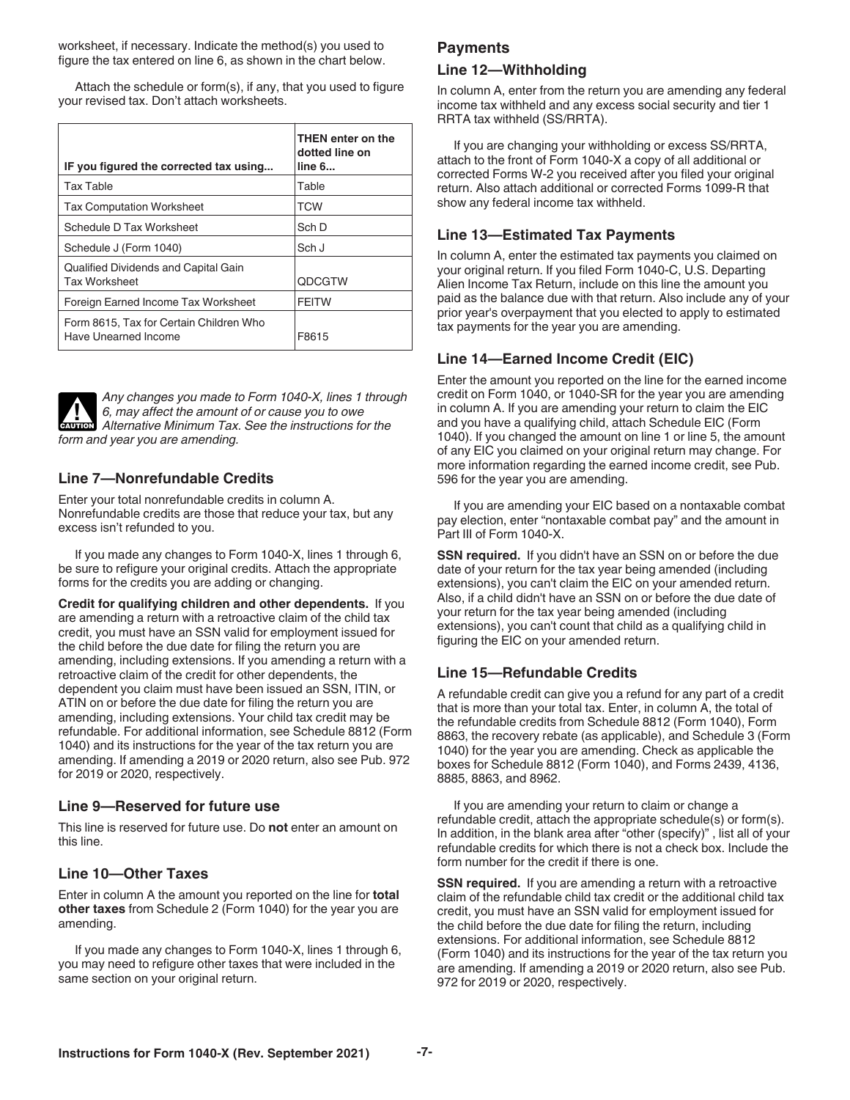<span id="page-6-0"></span>worksheet, if necessary. Indicate the method(s) you used to figure the tax entered on line 6, as shown in the chart below.

Attach the schedule or form(s), if any, that you used to figure your revised tax. Don't attach worksheets.

| IF you figured the corrected tax using                          | THEN enter on the<br>dotted line on<br>line 6 |
|-----------------------------------------------------------------|-----------------------------------------------|
| <b>Tax Table</b>                                                | Table                                         |
| <b>Tax Computation Worksheet</b>                                | <b>TCW</b>                                    |
| Schedule D Tax Worksheet                                        | Sch D                                         |
| Schedule J (Form 1040)                                          | Sch J                                         |
| Qualified Dividends and Capital Gain<br><b>Tax Worksheet</b>    | <b>ODCGTW</b>                                 |
| Foreign Earned Income Tax Worksheet                             | <b>FFITW</b>                                  |
| Form 8615, Tax for Certain Children Who<br>Have Unearned Income | F8615                                         |

*Any changes you made to Form 1040-X, lines 1 through 6, may affect the amount of or cause you to owe*  **Alternative Minimum Tax. See the instructions for the amount of**  $\alpha$  **cause you to owe** *form and year you are amending.*

#### **Line 7—Nonrefundable Credits**

Enter your total nonrefundable credits in column A. Nonrefundable credits are those that reduce your tax, but any excess isn't refunded to you.

If you made any changes to Form 1040-X, lines 1 through 6, be sure to refigure your original credits. Attach the appropriate forms for the credits you are adding or changing.

**Credit for qualifying children and other dependents.** If you are amending a return with a retroactive claim of the child tax credit, you must have an SSN valid for employment issued for the child before the due date for filing the return you are amending, including extensions. If you amending a return with a retroactive claim of the credit for other dependents, the dependent you claim must have been issued an SSN, ITIN, or ATIN on or before the due date for filing the return you are amending, including extensions. Your child tax credit may be refundable. For additional information, see Schedule 8812 (Form 1040) and its instructions for the year of the tax return you are amending. If amending a 2019 or 2020 return, also see Pub. 972 for 2019 or 2020, respectively.

#### **Line 9—Reserved for future use**

This line is reserved for future use. Do **not** enter an amount on this line.

#### **Line 10—Other Taxes**

Enter in column A the amount you reported on the line for **total other taxes** from Schedule 2 (Form 1040) for the year you are amending.

If you made any changes to Form 1040-X, lines 1 through 6, you may need to refigure other taxes that were included in the same section on your original return.

#### **Payments**

#### **Line 12—Withholding**

In column A, enter from the return you are amending any federal income tax withheld and any excess social security and tier 1 RRTA tax withheld (SS/RRTA).

If you are changing your withholding or excess SS/RRTA, attach to the front of Form 1040-X a copy of all additional or corrected Forms W-2 you received after you filed your original return. Also attach additional or corrected Forms 1099-R that show any federal income tax withheld.

#### **Line 13—Estimated Tax Payments**

In column A, enter the estimated tax payments you claimed on your original return. If you filed Form 1040-C, U.S. Departing Alien Income Tax Return, include on this line the amount you paid as the balance due with that return. Also include any of your prior year's overpayment that you elected to apply to estimated tax payments for the year you are amending.

#### **Line 14—Earned Income Credit (EIC)**

Enter the amount you reported on the line for the earned income credit on Form 1040, or 1040-SR for the year you are amending in column A. If you are amending your return to claim the EIC and you have a qualifying child, attach Schedule EIC (Form 1040). If you changed the amount on line 1 or line 5, the amount of any EIC you claimed on your original return may change. For more information regarding the earned income credit, see Pub. 596 for the year you are amending.

If you are amending your EIC based on a nontaxable combat pay election, enter "nontaxable combat pay" and the amount in Part III of Form 1040-X.

**SSN required.** If you didn't have an SSN on or before the due date of your return for the tax year being amended (including extensions), you can't claim the EIC on your amended return. Also, if a child didn't have an SSN on or before the due date of your return for the tax year being amended (including extensions), you can't count that child as a qualifying child in figuring the EIC on your amended return.

#### **Line 15—Refundable Credits**

A refundable credit can give you a refund for any part of a credit that is more than your total tax. Enter, in column A, the total of the refundable credits from Schedule 8812 (Form 1040), Form 8863, the recovery rebate (as applicable), and Schedule 3 (Form 1040) for the year you are amending. Check as applicable the boxes for Schedule 8812 (Form 1040), and Forms 2439, 4136, 8885, 8863, and 8962.

If you are amending your return to claim or change a refundable credit, attach the appropriate schedule(s) or form(s). In addition, in the blank area after "other (specify)" , list all of your refundable credits for which there is not a check box. Include the form number for the credit if there is one.

**SSN required.** If you are amending a return with a retroactive claim of the refundable child tax credit or the additional child tax credit, you must have an SSN valid for employment issued for the child before the due date for filing the return, including extensions. For additional information, see Schedule 8812 (Form 1040) and its instructions for the year of the tax return you are amending. If amending a 2019 or 2020 return, also see Pub. 972 for 2019 or 2020, respectively.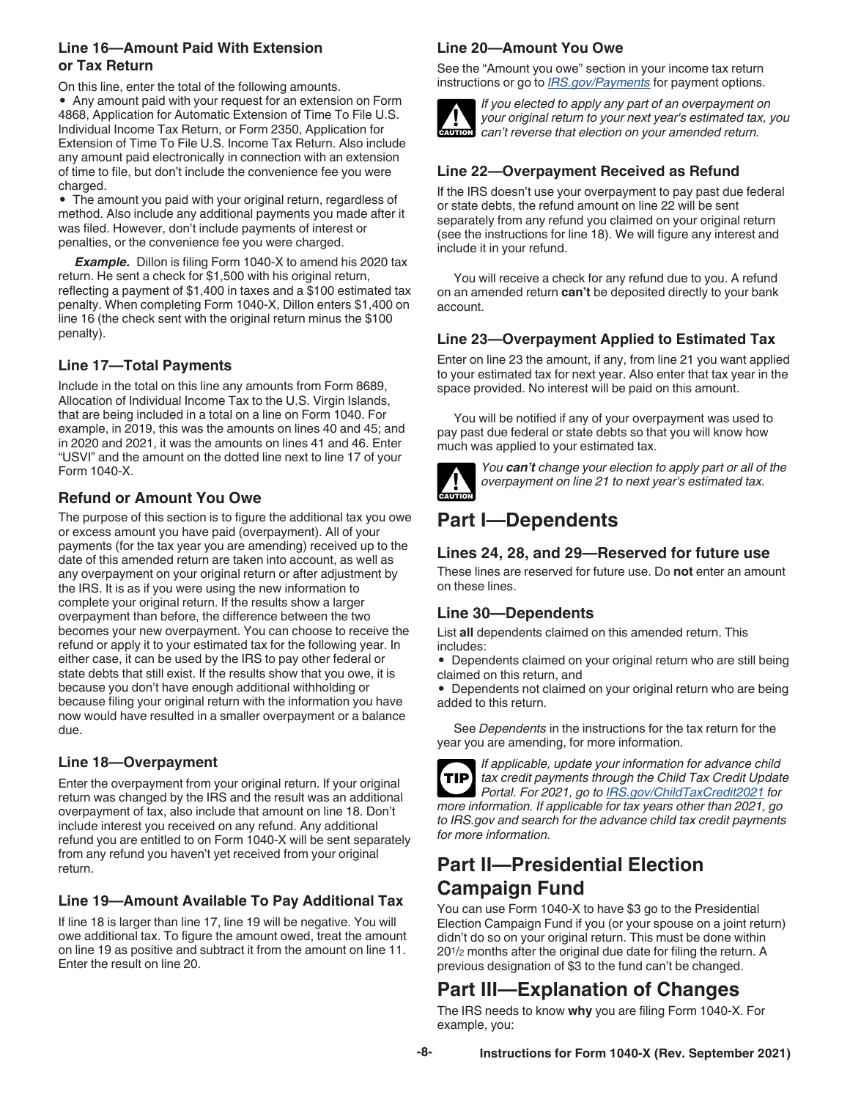#### <span id="page-7-0"></span>**Line 16—Amount Paid With Extension or Tax Return**

On this line, enter the total of the following amounts.

• Any amount paid with your request for an extension on Form 4868, Application for Automatic Extension of Time To File U.S. Individual Income Tax Return, or Form 2350, Application for Extension of Time To File U.S. Income Tax Return. Also include any amount paid electronically in connection with an extension of time to file, but don't include the convenience fee you were charged.

• The amount you paid with your original return, regardless of method. Also include any additional payments you made after it was filed. However, don't include payments of interest or penalties, or the convenience fee you were charged.

**Example.** Dillon is filing Form 1040-X to amend his 2020 tax return. He sent a check for \$1,500 with his original return, reflecting a payment of \$1,400 in taxes and a \$100 estimated tax penalty. When completing Form 1040-X, Dillon enters \$1,400 on line 16 (the check sent with the original return minus the \$100 penalty).

#### **Line 17—Total Payments**

Include in the total on this line any amounts from Form 8689, Allocation of Individual Income Tax to the U.S. Virgin Islands, that are being included in a total on a line on Form 1040. For example, in 2019, this was the amounts on lines 40 and 45; and in 2020 and 2021, it was the amounts on lines 41 and 46. Enter "USVI" and the amount on the dotted line next to line 17 of your Form 1040-X.

#### **Refund or Amount You Owe**

The purpose of this section is to figure the additional tax you owe or excess amount you have paid (overpayment). All of your payments (for the tax year you are amending) received up to the date of this amended return are taken into account, as well as any overpayment on your original return or after adjustment by the IRS. It is as if you were using the new information to complete your original return. If the results show a larger overpayment than before, the difference between the two becomes your new overpayment. You can choose to receive the refund or apply it to your estimated tax for the following year. In either case, it can be used by the IRS to pay other federal or state debts that still exist. If the results show that you owe, it is because you don't have enough additional withholding or because filing your original return with the information you have now would have resulted in a smaller overpayment or a balance due.

#### **Line 18—Overpayment**

Enter the overpayment from your original return. If your original return was changed by the IRS and the result was an additional overpayment of tax, also include that amount on line 18. Don't include interest you received on any refund. Any additional refund you are entitled to on Form 1040-X will be sent separately from any refund you haven't yet received from your original return.

#### **Line 19—Amount Available To Pay Additional Tax**

If line 18 is larger than line 17, line 19 will be negative. You will owe additional tax. To figure the amount owed, treat the amount on line 19 as positive and subtract it from the amount on line 11. Enter the result on line 20.

#### **Line 20—Amount You Owe**

See the "Amount you owe" section in your income tax return instructions or go to *[IRS.gov/Payments](https://www.irs.gov/payments)* for payment options.



*If you elected to apply any part of an overpayment on your original return to your next year's estimated tax, you can't reverse that election on your amended return.*

#### **Line 22—Overpayment Received as Refund**

If the IRS doesn't use your overpayment to pay past due federal or state debts, the refund amount on line 22 will be sent separately from any refund you claimed on your original return (see the instructions for line 18). We will figure any interest and include it in your refund.

You will receive a check for any refund due to you. A refund on an amended return **can't** be deposited directly to your bank account.

#### **Line 23—Overpayment Applied to Estimated Tax**

Enter on line 23 the amount, if any, from line 21 you want applied to your estimated tax for next year. Also enter that tax year in the space provided. No interest will be paid on this amount.

You will be notified if any of your overpayment was used to pay past due federal or state debts so that you will know how much was applied to your estimated tax.



*You can't change your election to apply part or all of the overpayment on line 21 to next year's estimated tax.*

# **Part I—Dependents**

#### **Lines 24, 28, and 29—Reserved for future use**

These lines are reserved for future use. Do **not** enter an amount on these lines.

#### **Line 30—Dependents**

List **all** dependents claimed on this amended return. This includes:

• Dependents claimed on your original return who are still being claimed on this return, and

• Dependents not claimed on your original return who are being added to this return.

See *Dependents* in the instructions for the tax return for the year you are amending, for more information.



*If applicable, update your information for advance child tax credit payments through the Child Tax Credit Update Portal. For 2021, go to [IRS.gov/ChildTaxCredit2021](https://www.irs.gov/credits-deductions/advance-child-tax-credit-payments-in-2021) for more information. If applicable for tax years other than 2021, go to IRS.gov and search for the advance child tax credit payments for more information.*

# **Part II—Presidential Election Campaign Fund**

You can use Form 1040-X to have \$3 go to the Presidential Election Campaign Fund if you (or your spouse on a joint return) didn't do so on your original return. This must be done within 201/2 months after the original due date for filing the return. A previous designation of \$3 to the fund can't be changed.

# **Part III—Explanation of Changes**

The IRS needs to know **why** you are filing Form 1040-X. For example, you: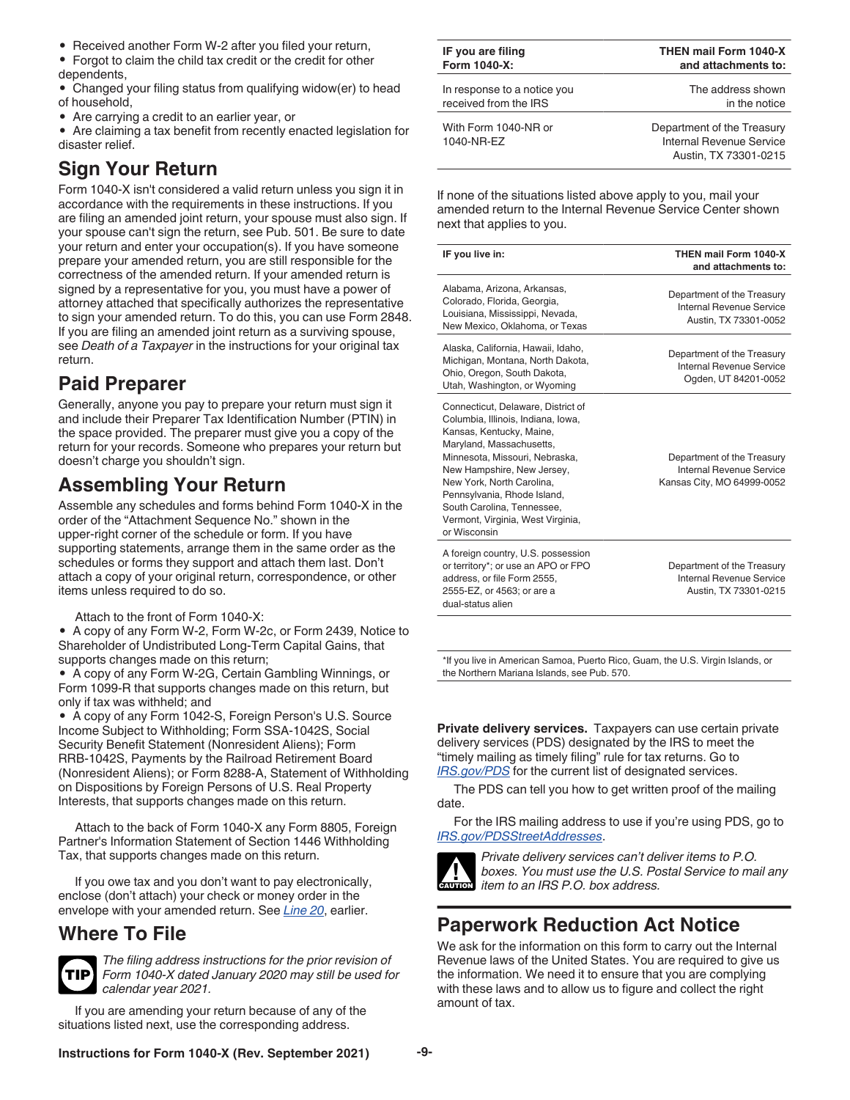<span id="page-8-0"></span>• Received another Form W-2 after you filed your return,

• Forgot to claim the child tax credit or the credit for other dependents,

• Changed your filing status from qualifying widow(er) to head of household,

• Are carrying a credit to an earlier year, or

• Are claiming a tax benefit from recently enacted legislation for disaster relief.

# **Sign Your Return**

Form 1040-X isn't considered a valid return unless you sign it in accordance with the requirements in these instructions. If you are filing an amended joint return, your spouse must also sign. If your spouse can't sign the return, see Pub. 501. Be sure to date your return and enter your occupation(s). If you have someone prepare your amended return, you are still responsible for the correctness of the amended return. If your amended return is signed by a representative for you, you must have a power of attorney attached that specifically authorizes the representative to sign your amended return. To do this, you can use Form 2848. If you are filing an amended joint return as a surviving spouse, see *Death of a Taxpayer* in the instructions for your original tax return.

# **Paid Preparer**

Generally, anyone you pay to prepare your return must sign it and include their Preparer Tax Identification Number (PTIN) in the space provided. The preparer must give you a copy of the return for your records. Someone who prepares your return but doesn't charge you shouldn't sign.

# **Assembling Your Return**

Assemble any schedules and forms behind Form 1040-X in the order of the "Attachment Sequence No." shown in the upper-right corner of the schedule or form. If you have supporting statements, arrange them in the same order as the schedules or forms they support and attach them last. Don't attach a copy of your original return, correspondence, or other items unless required to do so.

Attach to the front of Form 1040-X:

• A copy of any Form W-2, Form W-2c, or Form 2439, Notice to Shareholder of Undistributed Long-Term Capital Gains, that supports changes made on this return;

• A copy of any Form W-2G, Certain Gambling Winnings, or Form 1099-R that supports changes made on this return, but only if tax was withheld; and

• A copy of any Form 1042-S, Foreign Person's U.S. Source Income Subject to Withholding; Form SSA-1042S, Social Security Benefit Statement (Nonresident Aliens); Form RRB-1042S, Payments by the Railroad Retirement Board (Nonresident Aliens); or Form 8288-A, Statement of Withholding on Dispositions by Foreign Persons of U.S. Real Property Interests, that supports changes made on this return.

Attach to the back of Form 1040-X any Form 8805, Foreign Partner's Information Statement of Section 1446 Withholding Tax, that supports changes made on this return.

If you owe tax and you don't want to pay electronically, enclose (don't attach) your check or money order in the envelope with your amended return. See *[Line 20](#page-7-0)*, earlier.

# **Where To File**



*The filing address instructions for the prior revision of Form 1040-X dated January 2020 may still be used for calendar year 2021.*

If you are amending your return because of any of the situations listed next, use the corresponding address.

| IF you are filing                  | <b>THEN mail Form 1040-X</b>                                                    |
|------------------------------------|---------------------------------------------------------------------------------|
| Form 1040-X:                       | and attachments to:                                                             |
| In response to a notice you        | The address shown                                                               |
| received from the IRS              | in the notice                                                                   |
| With Form 1040-NR or<br>1040-NR-EZ | Department of the Treasury<br>Internal Revenue Service<br>Austin, TX 73301-0215 |

If none of the situations listed above apply to you, mail your amended return to the Internal Revenue Service Center shown next that applies to you.

| IF you live in:                                                                                                                                                                                                                                                                                                                                 | THEN mail Form 1040-X<br>and attachments to:                                         |
|-------------------------------------------------------------------------------------------------------------------------------------------------------------------------------------------------------------------------------------------------------------------------------------------------------------------------------------------------|--------------------------------------------------------------------------------------|
| Alabama, Arizona, Arkansas,<br>Colorado, Florida, Georgia,<br>Louisiana, Mississippi, Nevada,<br>New Mexico, Oklahoma, or Texas                                                                                                                                                                                                                 | Department of the Treasury<br>Internal Revenue Service<br>Austin, TX 73301-0052      |
| Alaska, California, Hawaii, Idaho,<br>Michigan, Montana, North Dakota,<br>Ohio, Oregon, South Dakota,<br>Utah, Washington, or Wyoming                                                                                                                                                                                                           | Department of the Treasury<br>Internal Revenue Service<br>Ogden, UT 84201-0052       |
| Connecticut, Delaware, District of<br>Columbia, Illinois, Indiana, Iowa,<br>Kansas, Kentucky, Maine,<br>Maryland, Massachusetts,<br>Minnesota, Missouri, Nebraska,<br>New Hampshire, New Jersey,<br>New York. North Carolina.<br>Pennsylvania, Rhode Island,<br>South Carolina. Tennessee.<br>Vermont, Virginia, West Virginia,<br>or Wisconsin | Department of the Treasury<br>Internal Revenue Service<br>Kansas City, MO 64999-0052 |
| A foreign country, U.S. possession<br>or territory*; or use an APO or FPO<br>address, or file Form 2555,<br>2555-EZ, or 4563; or are a<br>dual-status alien                                                                                                                                                                                     | Department of the Treasury<br>Internal Revenue Service<br>Austin, TX 73301-0215      |
|                                                                                                                                                                                                                                                                                                                                                 |                                                                                      |

\*If you live in American Samoa, Puerto Rico, Guam, the U.S. Virgin Islands, or the Northern Mariana Islands, see Pub. 570.

**Private delivery services.** Taxpayers can use certain private delivery services (PDS) designated by the IRS to meet the "timely mailing as timely filing" rule for tax returns. Go to *[IRS.gov/PDS](https://www.irs.gov/filing/private-delivery-services-pds)* for the current list of designated services.

The PDS can tell you how to get written proof of the mailing date.

For the IRS mailing address to use if you're using PDS, go to *[IRS.gov/PDSStreetAddresses](https://www.irs.gov/filing/submission-processing-center-street-addresses-for-private-delivery-service-pds)*.



*Private delivery services can't deliver items to P.O. boxes. You must use the U.S. Postal Service to mail any item to an IRS P.O. box address.*

# **Paperwork Reduction Act Notice**

We ask for the information on this form to carry out the Internal Revenue laws of the United States. You are required to give us the information. We need it to ensure that you are complying with these laws and to allow us to figure and collect the right amount of tax.

**Instructions for Form 1040-X (Rev. September 2021) -9-**